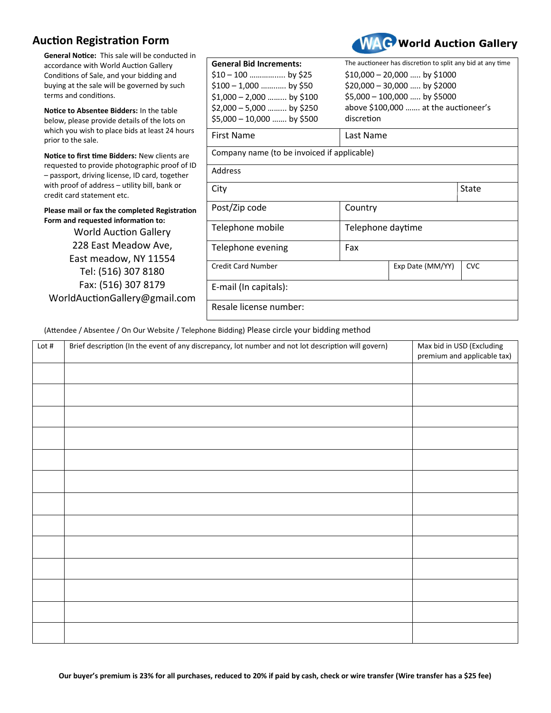## **Auction Registration Form**



**WAC** World Auction Gallery

## (Attendee / Absentee / On Our Website / Telephone Bidding) Please circle your bidding method

| Lot $#$ | Brief description (In the event of any discrepancy, lot number and not lot description will govern) | Max bid in USD (Excluding<br>premium and applicable tax) |
|---------|-----------------------------------------------------------------------------------------------------|----------------------------------------------------------|
|         |                                                                                                     |                                                          |
|         |                                                                                                     |                                                          |
|         |                                                                                                     |                                                          |
|         |                                                                                                     |                                                          |
|         |                                                                                                     |                                                          |
|         |                                                                                                     |                                                          |
|         |                                                                                                     |                                                          |
|         |                                                                                                     |                                                          |
|         |                                                                                                     |                                                          |
|         |                                                                                                     |                                                          |
|         |                                                                                                     |                                                          |
|         |                                                                                                     |                                                          |